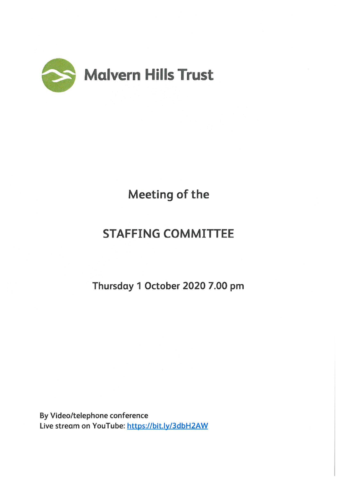

# Meeting of the

# STAFFING COMMITTEE

Thursday 1 October 2020 7.00 pm

By Video/telephone conference Live stream on YouTube: https://bit.ly/3dbH2AW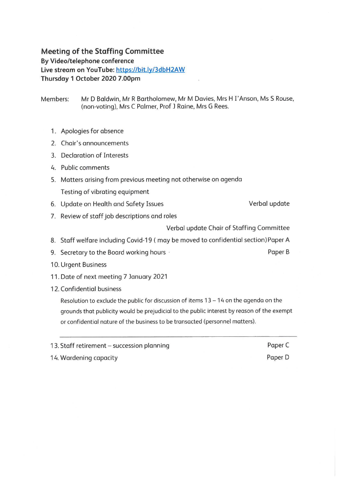## **Meeting of the Staffing Committee**

**By Video/telephone conference** 

**Live stream on YouTube: https://bit.ly/3dbH2AW** 

**Thursday 1 October 2020 7.00pm** 

Members: Mr D Baldwin, Mr R Bartholomew, Mr M Davies, Mrs H I' Anson, Ms S Rouse, (non-voting), Mrs C Palmer, Prof J Raine, Mrs G Rees.

- 1. Apologies for absence
- 2. Chair's announcements
- 3. Declaration of Interests
- 4. Public comments
- 5. Matters arising from previous meeting not otherwise on agenda Testing of vibrating equipment
- 6. Update on Health and Safety Issues

Verbal update

7. Review of staff job descriptions and roles

Verbal update Chair of Staffing Committee

- 8. Staff welfare including Covid-19 ( may be moved to confidential section) Paper A
- 9. Secretary to the Board working hours **buying the Secretary of the Board Working hours Paper B**
- 10. Urgent Business
- 11. Date of next meeting 7 January 2021
- 12. Confidential business

Resolution to exclude the public for discussion of items  $13 - 14$  on the agenda on the grounds that publicity would be prejudicial to the public interest by reason of the exempt or confidential nature of the business to be transacted (personnel matters).

13. Staff retirement - succession planning

14. Wardening capacity

Paper<sub>C</sub> Paper D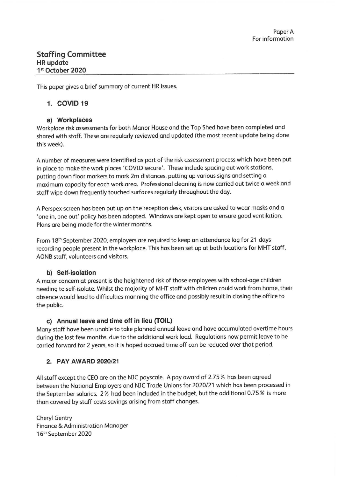This paper gives a brief summary of current HR issues.

## **1. COVID 19**

### **a) Workplaces**

Workplace risk assessments for both Manor House and the Top Shed have been completed and shared with staff. These are regularly reviewed and updated (the most recent update being done this week).

A number of measures were identified as part of the risk assessment process which have been put in place to make the work places 'COVID secure'. These include spacing out work stations, putting down floor markers to mark 2m distances, putting up various signs and setting a maximum capacity for each work area. Professional cleaning is now carried out twice a week and staff wipe down frequently touched surfaces regularly throughout the day.

A Perspex screen has been put up on the reception desk, visitors are asked to wear masks and a 'one in, one out' policy has been adopted. Windows are kept open to ensure good ventilation. Plans are being made for the winter months.

From 18<sup>th</sup> September 2020, employers are required to keep an attendance log for 21 days recording people present in the workplace. This has been set up at both locations for MHT staff, AONB staff, volunteers and visitors.

## **b) Self-isolation**

A major concern at present is the heightened risk of those employees with school-age children needing to self-isolate. Whilst the majority of MHT staff with children could work from home, their absence would lead to difficulties manning the office and possibly result in closing the office to the public.

## **c) Annual leave and time off in lieu (TOIL)**

Many staff have been unable to take planned annual leave and have accumulated overtime hours during the last few months, due to the additional work load. Regulations now permit leave to be carried forward for 2 years, so it is hoped accrued time off can be reduced over that period.

## **2. PAY AWARD 2020/21**

All staff except the CEO are on the NJC payscale. A pay award of 2.75 % has been agreed between the National Employers and NJC Trade Unions for 2020/21 which has been processed in the September salaries. 2 % had been included in the budget, but the additional 0.75 % is more than covered by staff costs savings arising from staff changes.

Cheryl Gentry Finance & Administration Manager 16<sup>th</sup> September 2020